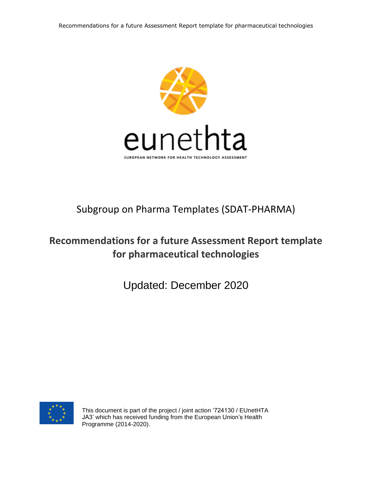

# Subgroup on Pharma Templates (SDAT-PHARMA)

# **Recommendations for a future Assessment Report template for pharmaceutical technologies**

Updated: December 2020



This document is part of the project / joint action '724130 / EUnetHTA JA3' which has received funding from the European Union's Health Programme (2014-2020).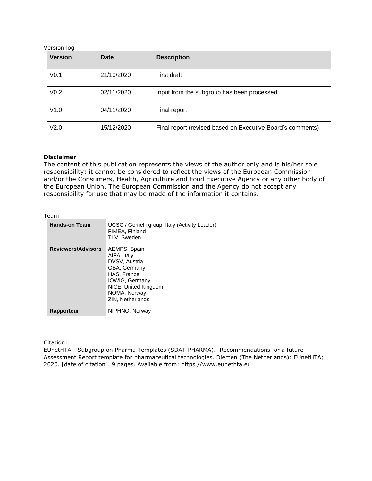Version log

| <b>Version</b>   | Date       | <b>Description</b>                                         |
|------------------|------------|------------------------------------------------------------|
| V <sub>0.1</sub> | 21/10/2020 | First draft                                                |
| V <sub>0.2</sub> | 02/11/2020 | Input from the subgroup has been processed                 |
| V1.0             | 04/11/2020 | Final report                                               |
| V <sub>2.0</sub> | 15/12/2020 | Final report (revised based on Executive Board's comments) |

#### **Disclaimer**

The content of this publication represents the views of the author only and is his/her sole responsibility; it cannot be considered to reflect the views of the European Commission and/or the Consumers, Health, Agriculture and Food Executive Agency or any other body of the European Union. The European Commission and the Agency do not accept any responsibility for use that may be made of the information it contains.

#### Team

| .                         |                                                                                                                                                           |
|---------------------------|-----------------------------------------------------------------------------------------------------------------------------------------------------------|
| <b>Hands-on Team</b>      | UCSC / Gemelli group, Italy (Activity Leader)<br>FIMEA, Finland<br>TLV, Sweden                                                                            |
| <b>Reviewers/Advisors</b> | AEMPS, Spain<br>AIFA, Italy<br>DVSV, Austria<br>GBA, Germany<br>HAS, France<br>IQWIG, Germany<br>NICE, United Kingdom<br>NOMA, Norway<br>ZIN, Netherlands |
| Rapporteur                | NIPHNO, Norway                                                                                                                                            |

Citation:

EUnetHTA - Subgroup on Pharma Templates (SDAT-PHARMA). Recommendations for a future Assessment Report template for pharmaceutical technologies. Diemen (The Netherlands): EUnetHTA; 2020. [date of citation]. 9 pages. Available from: https //www.eunethta.eu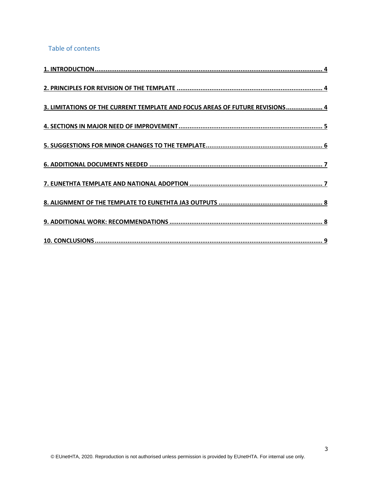Table of contents

| 3. LIMITATIONS OF THE CURRENT TEMPLATE AND FOCUS AREAS OF FUTURE REVISIONS 4 |
|------------------------------------------------------------------------------|
|                                                                              |
|                                                                              |
|                                                                              |
|                                                                              |
|                                                                              |
|                                                                              |
|                                                                              |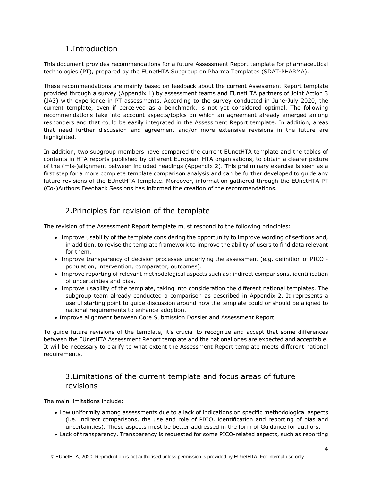# 1.Introduction

<span id="page-3-0"></span>This document provides recommendations for a future Assessment Report template for pharmaceutical technologies (PT), prepared by the EUnetHTA Subgroup on Pharma Templates (SDAT-PHARMA).

These recommendations are mainly based on feedback about the current Assessment Report template provided through a survey (Appendix 1) by assessment teams and EUnetHTA partners of Joint Action 3 (JA3) with experience in PT assessments. According to the survey conducted in June-July 2020, the current template, even if perceived as a benchmark, is not yet considered optimal. The following recommendations take into account aspects/topics on which an agreement already emerged among responders and that could be easily integrated in the Assessment Report template. In addition, areas that need further discussion and agreement and/or more extensive revisions in the future are highlighted.

In addition, two subgroup members have compared the current EUnetHTA template and the tables of contents in HTA reports published by different European HTA organisations, to obtain a clearer picture of the (mis-)alignment between included headings (Appendix 2). This preliminary exercise is seen as a first step for a more complete template comparison analysis and can be further developed to guide any future revisions of the EUnetHTA template. Moreover, information gathered through the EUnetHTA PT (Co-)Authors Feedback Sessions has informed the creation of the recommendations.

# 2.Principles for revision of the template

<span id="page-3-1"></span>The revision of the Assessment Report template must respond to the following principles:

- Improve usability of the template considering the opportunity to improve wording of sections and, in addition, to revise the template framework to improve the ability of users to find data relevant for them.
- Improve transparency of decision processes underlying the assessment (e.g. definition of PICO population, intervention, comparator, outcomes).
- Improve reporting of relevant methodological aspects such as: indirect comparisons, identification of uncertainties and bias.
- Improve usability of the template, taking into consideration the different national templates. The subgroup team already conducted a comparison as described in Appendix 2. It represents a useful starting point to guide discussion around how the template could or should be aligned to national requirements to enhance adoption.
- Improve alignment between Core Submission Dossier and Assessment Report.

To guide future revisions of the template, it's crucial to recognize and accept that some differences between the EUnetHTA Assessment Report template and the national ones are expected and acceptable. It will be necessary to clarify to what extent the Assessment Report template meets different national requirements.

# <span id="page-3-2"></span>3.Limitations of the current template and focus areas of future revisions

The main limitations include:

- Low uniformity among assessments due to a lack of indications on specific methodological aspects (i.e. indirect comparisons, the use and role of PICO, identification and reporting of bias and uncertainties). Those aspects must be better addressed in the form of Guidance for authors.
- Lack of transparency. Transparency is requested for some PICO-related aspects, such as reporting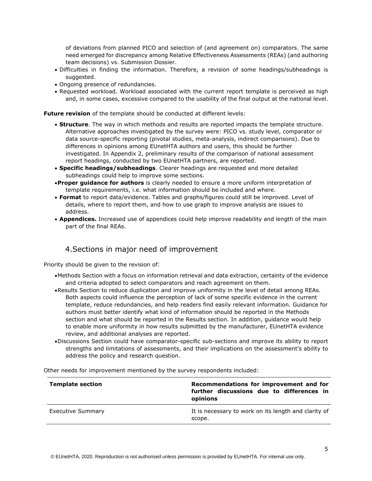of deviations from planned PICO and selection of (and agreement on) comparators. The same need emerged for discrepancy among Relative Effectiveness Assessments (REAs) (and authoring team decisions) vs. Submission Dossier.

- Difficulties in finding the information. Therefore, a revision of some headings/subheadings is suggested.
- Ongoing presence of redundancies.
- Requested workload. Workload associated with the current report template is perceived as high and, in some cases, excessive compared to the usability of the final output at the national level.

**Future revision** of the template should be conducted at different levels:

- **Structure**. The way in which methods and results are reported impacts the template structure. Alternative approaches investigated by the survey were: PICO vs. study level, comparator or data source-specific reporting (pivotal studies, meta-analysis, indirect comparisons). Due to differences in opinions among EUnetHTA authors and users, this should be further investigated. In Appendix 2, preliminary results of the comparison of national assessment report headings, conducted by two EUnetHTA partners, are reported.
- **Specific headings/subheadings**. Clearer headings are requested and more detailed subheadings could help to improve some sections.
- •**Proper guidance for authors** is clearly needed to ensure a more uniform interpretation of template requirements, i.e. what information should be included and where.
- **Format** to report data/evidence. Tables and graphs/figures could still be improved. Level of details, where to report them, and how to use graph to improve analysis are issues to address.
- **Appendices.** Increased use of appendices could help improve readability and length of the main part of the final REAs.

### 4.Sections in major need of improvement

<span id="page-4-0"></span>Priority should be given to the revision of:

- •Methods Section with a focus on information retrieval and data extraction, certainty of the evidence and criteria adopted to select comparators and reach agreement on them.
- •Results Section to reduce duplication and improve uniformity in the level of detail among REAs. Both aspects could influence the perception of lack of some specific evidence in the current template, reduce redundancies, and help readers find easily relevant information. Guidance for authors must better identify what kind of information should be reported in the Methods section and what should be reported in the Results section. In addition, guidance would help to enable more uniformity in how results submitted by the manufacturer, EUnetHTA evidence review, and additional analyses are reported.
- •Discussions Section could have comparator-specific sub-sections and improve its ability to report strengths and limitations of assessments, and their implications on the assessment's ability to address the policy and research question.

**Template section Recommendations for improvement and for further discussions due to differences in opinions** Executive Summary **It is necessary to work on its length and clarity of** It is necessary to work on its length and clarity of scope.

Other needs for improvement mentioned by the survey respondents included: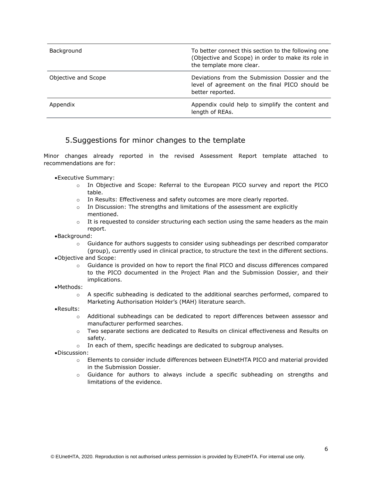| Background          | To better connect this section to the following one<br>(Objective and Scope) in order to make its role in<br>the template more clear. |
|---------------------|---------------------------------------------------------------------------------------------------------------------------------------|
| Objective and Scope | Deviations from the Submission Dossier and the<br>level of agreement on the final PICO should be<br>better reported.                  |
| Appendix            | Appendix could help to simplify the content and<br>length of REAs.                                                                    |

#### 5.Suggestions for minor changes to the template

<span id="page-5-0"></span>Minor changes already reported in the revised Assessment Report template attached to recommendations are for:

•Executive Summary:

- o In Objective and Scope: Referral to the European PICO survey and report the PICO table.
- $\circ$  In Results: Effectiveness and safety outcomes are more clearly reported.
- $\circ$  In Discussion: The strengths and limitations of the assessment are explicitly mentioned.
- $\circ$  It is requested to consider structuring each section using the same headers as the main report.
- •Background:
	- $\circ$  Guidance for authors suggests to consider using subheadings per described comparator (group), currently used in clinical practice, to structure the text in the different sections.
- •Objective and Scope:
	- $\circ$  Guidance is provided on how to report the final PICO and discuss differences compared to the PICO documented in the Project Plan and the Submission Dossier, and their implications.
- •Methods:
	- $\circ$  A specific subheading is dedicated to the additional searches performed, compared to Marketing Authorisation Holder's (MAH) literature search.
- •Results:
	- o Additional subheadings can be dedicated to report differences between assessor and manufacturer performed searches.
	- o Two separate sections are dedicated to Results on clinical effectiveness and Results on safety.
	- o In each of them, specific headings are dedicated to subgroup analyses.
- •Discussion:
	- o Elements to consider include differences between EUnetHTA PICO and material provided in the Submission Dossier.
	- o Guidance for authors to always include a specific subheading on strengths and limitations of the evidence.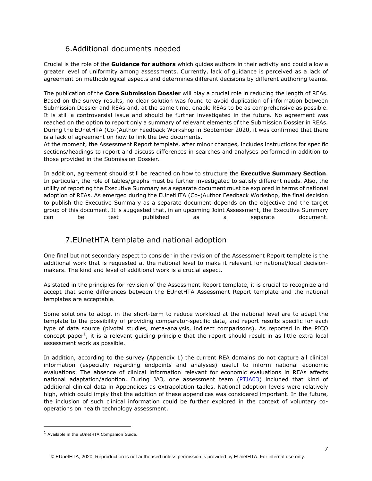# 6.Additional documents needed

<span id="page-6-0"></span>Crucial is the role of the **Guidance for authors** which guides authors in their activity and could allow a greater level of uniformity among assessments. Currently, lack of guidance is perceived as a lack of agreement on methodological aspects and determines different decisions by different authoring teams.

The publication of the **Core Submission Dossier** will play a crucial role in reducing the length of REAs. Based on the survey results, no clear solution was found to avoid duplication of information between Submission Dossier and REAs and, at the same time, enable REAs to be as comprehensive as possible. It is still a controversial issue and should be further investigated in the future. No agreement was reached on the option to report only a summary of relevant elements of the Submission Dossier in REAs. During the EUnetHTA (Co-)Author Feedback Workshop in September 2020, it was confirmed that there is a lack of agreement on how to link the two documents.

At the moment, the Assessment Report template, after minor changes, includes instructions for specific sections/headings to report and discuss differences in searches and analyses performed in addition to those provided in the Submission Dossier.

In addition, agreement should still be reached on how to structure the **Executive Summary Section**. In particular, the role of tables/graphs must be further investigated to satisfy different needs. Also, the utility of reporting the Executive Summary as a separate document must be explored in terms of national adoption of REAs. As emerged during the EUnetHTA (Co-)Author Feedback Workshop, the final decision to publish the Executive Summary as a separate document depends on the objective and the target group of this document. It is suggested that, in an upcoming Joint Assessment, the Executive Summary can be test published as a separate document.

# 7.EUnetHTA template and national adoption

<span id="page-6-1"></span>One final but not secondary aspect to consider in the revision of the Assessment Report template is the additional work that is requested at the national level to make it relevant for national/local decisionmakers. The kind and level of additional work is a crucial aspect.

As stated in the principles for revision of the Assessment Report template, it is crucial to recognize and accept that some differences between the EUnetHTA Assessment Report template and the national templates are acceptable.

Some solutions to adopt in the short-term to reduce workload at the national level are to adapt the template to the possibility of providing comparator-specific data, and report results specific for each type of data source (pivotal studies, meta-analysis, indirect comparisons). As reported in the PICO concept paper<sup>1</sup>, it is a relevant guiding principle that the report should result in as little extra local assessment work as possible.

In addition, according to the survey (Appendix 1) the current REA domains do not capture all clinical information (especially regarding endpoints and analyses) useful to inform national economic evaluations. The absence of clinical information relevant for economic evaluations in REAs affects national adaptation/adoption. During JA3, one assessment team [\(PTJA03\)](https://eunethta.eu/wp4-ptja03-on-alectinib-alecensa-as-monotherapy-for-the-first-line-treatment-of-adult-patients-with-alk-positive-advanced-non-small-cell-lung-cancer-nsclc-is-now-available/) included that kind of additional clinical data in Appendices as extrapolation tables. National adoption levels were relatively high, which could imply that the addition of these appendices was considered important. In the future, the inclusion of such clinical information could be further explored in the context of voluntary cooperations on health technology assessment.

<sup>&</sup>lt;sup>1</sup> Available in the EUnetHTA Companion Guide.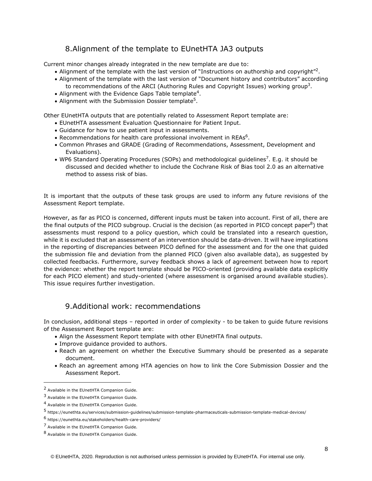# 8.Alignment of the template to EUnetHTA JA3 outputs

<span id="page-7-0"></span>Current minor changes already integrated in the new template are due to:

- Alignment of the template with the last version of "Instructions on authorship and copyright"<sup>2</sup>.
- Alignment of the template with the last version of "Document history and contributors" according to recommendations of the ARCI (Authoring Rules and Copyright Issues) working group<sup>3</sup>.
- $\bullet$  Alignment with the Evidence Gaps Table template<sup>4</sup>.
- Alignment with the Submission Dossier template<sup>5</sup>.

Other EUnetHTA outputs that are potentially related to Assessment Report template are:

- EUnetHTA assessment Evaluation Questionnaire for Patient Input.
- Guidance for how to use patient input in assessments.
- Recommendations for health care professional involvement in REAs<sup>6</sup>.
- Common Phrases and GRADE (Grading of Recommendations, Assessment, Development and Evaluations).
- WP6 Standard Operating Procedures (SOPs) and methodological guidelines<sup>7</sup>. E.g. it should be discussed and decided whether to include the Cochrane Risk of Bias tool 2.0 as an alternative method to assess risk of bias.

It is important that the outputs of these task groups are used to inform any future revisions of the Assessment Report template.

However, as far as PICO is concerned, different inputs must be taken into account. First of all, there are the final outputs of the PICO subgroup. Crucial is the decision (as reported in PICO concept paper<sup>8</sup>) that assessments must respond to a policy question, which could be translated into a research question, while it is excluded that an assessment of an intervention should be data-driven. It will have implications in the reporting of discrepancies between PICO defined for the assessment and for the one that guided the submission file and deviation from the planned PICO (given also available data), as suggested by collected feedbacks. Furthermore, survey feedback shows a lack of agreement between how to report the evidence: whether the report template should be PICO-oriented (providing available data explicitly for each PICO element) and study-oriented (where assessment is organised around available studies). This issue requires further investigation.

### 9.Additional work: recommendations

<span id="page-7-1"></span>In conclusion, additional steps – reported in order of complexity - to be taken to guide future revisions of the Assessment Report template are:

- Align the Assessment Report template with other EUnetHTA final outputs.
- Improve guidance provided to authors.
- Reach an agreement on whether the Executive Summary should be presented as a separate document.
- Reach an agreement among HTA agencies on how to link the Core Submission Dossier and the Assessment Report.

<sup>&</sup>lt;sup>2</sup> Available in the EUnetHTA Companion Guide.

<sup>&</sup>lt;sup>3</sup> Available in the EUnetHTA Companion Guide.

<sup>4</sup> Available in the EUnetHTA Companion Guide.

<sup>5&</sup>lt;br>5 https://eunethta.eu/services/submission-guidelines/submission-template-pharmaceuticals-submission-template-medical-devices/

<sup>6</sup> https://eunethta.eu/stakeholders/health-care-providers/

<sup>7</sup> Available in the EUnetHTA Companion Guide.

<sup>8</sup> Available in the EUnetHTA Companion Guide.